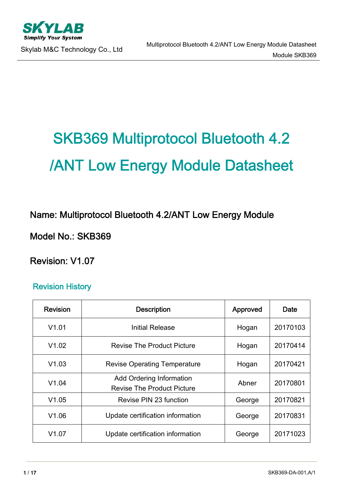

# SKB369 Multiprotocol Bluetooth 4.2 /ANT Low Energy Module Datasheet

Name: Multiprotocol Bluetooth 4.2/ANT Low Energy Module

Model No.: SKB369

Revision: V1.07

#### Revision History

| <b>Revision</b> | <b>Description</b>                                                   | Approved | Date     |
|-----------------|----------------------------------------------------------------------|----------|----------|
| V1.01           | Initial Release                                                      | Hogan    | 20170103 |
| V1.02           | <b>Revise The Product Picture</b>                                    |          | 20170414 |
| V1.03           | <b>Revise Operating Temperature</b>                                  | Hogan    | 20170421 |
| V1.04           | <b>Add Ordering Information</b><br><b>Revise The Product Picture</b> | Abner    | 20170801 |
| V1.05           | Revise PIN 23 function                                               | George   | 20170821 |
| V1.06           | Update certification information                                     | George   | 20170831 |
| V1.07           | Update certification information                                     | George   | 20171023 |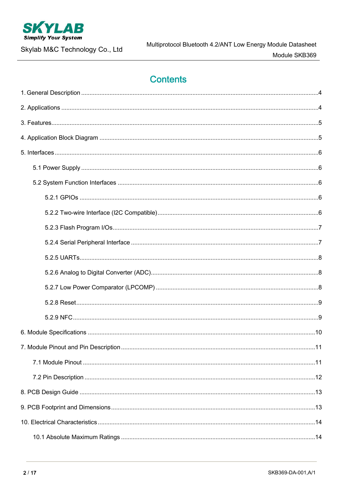

Skylab M&C Technology Co., Ltd

# **Contents**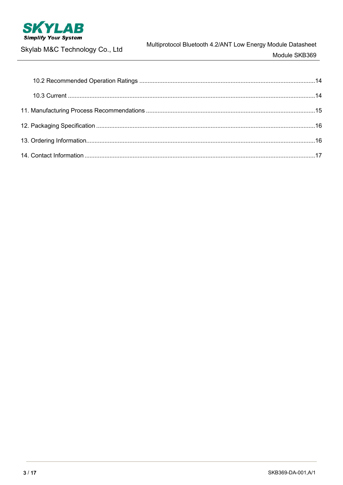

Skylab M&C Technology Co., Ltd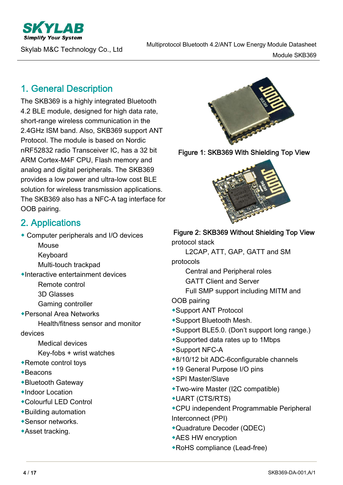**Simplify Your System** 

# 1. General Description

The SKB369 is a highly integrated Bluetooth 4.2 BLE module, designed for high data rate, short-range wireless communication in the 2.4GHz ISM band. Also, SKB369 support ANT Protocol. The module is based on Nordic nRF52832 radio Transceiver IC, has a 32 bit ARM Cortex-M4F CPU, Flash memory and analog and digital peripherals. The SKB369 provides a low power and ultra-low cost BLE solution for wireless transmission applications. The SKB369 also has a NFC-A tag interface for OOB pairing.

# 2. Applications

◆ Computer peripherals and I/O devices

- Mouse
- Keyboard
- Multi-touch trackpad
- ◆Interactive entertainment devices
	- Remote control
	- 3D Glasses
	- Gaming controller
- ◆Personal Area Networks
	- Health/fitness sensor and monitor
- devices
	- Medical devices
	- Key-fobs + wrist watches
- ◆Remote control toys
- ◆Beacons
- ◆Bluetooth Gateway
- ◆Indoor Location
- ◆Colourful LED Control
- ◆Building automation
- ◆Sensor networks.
- ◆Asset tracking.







#### Figure 2: SKB369 Without Shielding Top View

protocol stack

L2CAP, ATT, GAP, GATT and SM

protocols

Central and Peripheral roles

- GATT Client and Server
- Full SMP support including MITM and

OOB pairing

- ◆Support ANT Protocol
- ◆Support Bluetooth Mesh.
- ◆Support BLE5.0. (Don't support long range.)
- ◆Supported data rates up to 1Mbps
- ◆Support NFC-A
- ◆8/10/12 bit ADC-6configurable channels
- ◆19 General Purpose I/O pins
- ◆SPI Master/Slave
- ◆Two-wire Master (I2C compatible)
- ◆UART (CTS/RTS)
- ◆CPU independent Programmable Peripheral Interconnect (PPI)
- ◆Quadrature Decoder (QDEC)
- ◆AES HW encryption
- ◆RoHS compliance (Lead-free)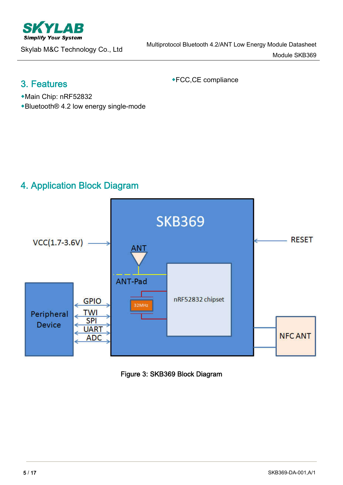

## 3. Features

◆FCC,CE compliance

- ◆Main Chip: nRF52832
- ◆Bluetooth® 4.2 low energy single-mode

# 4. Application Block Diagram



Figure 3: SKB369 Block Diagram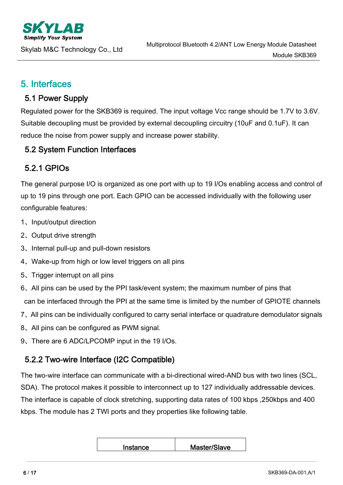## 5. Interfaces

#### 5.1 Power Supply

Regulated power for the SKB369 is required. The input voltage Vcc range should be 1.7V to 3.6V. Suitable decoupling must be provided by external decoupling circuitry (10uF and 0.1uF). It can reduce the noise from power supply and increase power stability.

### 5.2 System Function Interfaces

## 5.2.1 GPIOs

The general purpose I/O is organized as one port with up to 19 I/Os enabling access and control of up to 19 pins through one port. Each GPIO can be accessed individually with the following user configurable features:

- 1、Input/output direction
- 2、Output drive strength
- 3、Internal pull-up and pull-down resistors
- 4、Wake-up from high or low level triggers on all pins
- 5、Trigger interrupt on all pins
- 6、All pins can be used by the PPI task/event system; the maximum number of pins that can be interfaced through the PPI at the same time is limited by the number of GPIOTE channels
- 7、All pins can be individually configured to carry serial interface or quadrature demodulator signals
- 8、All pins can be configured as PWM signal.
- 9、There are 6 ADC/LPCOMP input in the 19 I/Os.

#### 5.2.2 Two-wire Interface (I2C Compatible)

The two-wire interface can communicate with a bi-directional wired-AND bus with two lines (SCL, SDA). The protocol makes it possible to interconnect up to 127 individually addressable devices. The interface is capable of clock stretching, supporting data rates of 100 kbps ,250kbps and 400 kbps. The module has 2 TWI ports and they properties like following table.

| Master/Slave |
|--------------|
|              |
|              |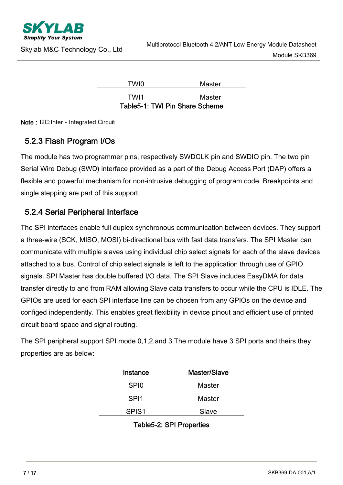

| TWI0                           | Master |
|--------------------------------|--------|
| TWI1                           | Master |
| Tahla5.4: TWI Din Shara Schama |        |

Table5-1: TWI Pin Share Scheme

Note: I2C:Inter - Integrated Circuit

## 5.2.3 Flash Program I/Os

The module has two programmer pins, respectively SWDCLK pin and SWDIO pin. The two pin Serial Wire Debug (SWD) interface provided as a part of the Debug Access Port (DAP) offers a flexible and powerful mechanism for non-intrusive debugging of program code. Breakpoints and single stepping are part of this support.

### 5.2.4 Serial Peripheral Interface

The SPI interfaces enable full duplex synchronous communication between devices. They support a three-wire (SCK, MISO, MOSI) bi-directional bus with fast data transfers. The SPI Master can communicate with multiple slaves using individual chip select signals for each of the slave devices attached to a bus. Control of chip select signals is left to the application through use of GPIO signals. SPI Master has double buffered I/O data. The SPI Slave includes EasyDMA for data transfer directly to and from RAM allowing Slave data transfers to occur while the CPU is IDLE. The GPIOs are used for each SPI interface line can be chosen from any GPIOs on the device and configed independently. This enables great flexibility in device pinout and efficient use of printed circuit board space and signal routing.

The SPI peripheral support SPI mode 0,1,2,and 3.The module have 3 SPI ports and theirs they properties are as below:

| Instance          | Master/Slave  |
|-------------------|---------------|
| SP <sub>I0</sub>  | <b>Master</b> |
| SPI1              | <b>Master</b> |
| SPIS <sub>1</sub> | Slave         |

| Table5-2: SPI Properties |  |
|--------------------------|--|
|--------------------------|--|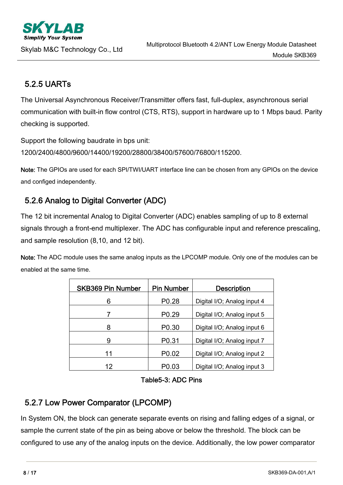**Simplify Your Systen** 

## 5.2.5 UARTs

The Universal Asynchronous Receiver/Transmitter offers fast, full-duplex, asynchronous serial communication with built-in flow control (CTS, RTS), support in hardware up to 1 Mbps baud. Parity checking is supported.

Support the following baudrate in bps unit:

1200/2400/4800/9600/14400/19200/28800/38400/57600/76800/115200.

Note: The GPIOs are used for each SPI/TWI/UART interface line can be chosen from any GPIOs on the device and configed independently.

## 5.2.6 Analog to Digital Converter (ADC)

The 12 bit incremental Analog to Digital Converter (ADC) enables sampling of up to 8 external signals through a front-end multiplexer. The ADC has configurable input and reference prescaling, and sample resolution (8,10, and 12 bit).

Note: The ADC module uses the same analog inputs as the LPCOMP module. Only one of the modules can be enabled at the same time.

| <b>SKB369 Pin Number</b> | <b>Pin Number</b> | <b>Description</b>          |
|--------------------------|-------------------|-----------------------------|
| P <sub>0.28</sub><br>6   |                   | Digital I/O; Analog input 4 |
| P <sub>0.29</sub>        |                   | Digital I/O; Analog input 5 |
| 8                        | P <sub>0.30</sub> | Digital I/O; Analog input 6 |
| 9                        | P0.31             | Digital I/O; Analog input 7 |
| 11                       | P <sub>0.02</sub> | Digital I/O; Analog input 2 |
| 12                       | P <sub>0.03</sub> | Digital I/O; Analog input 3 |

#### Table5-3: ADC Pins

#### 5.2.7 Low Power Comparator (LPCOMP)

In System ON, the block can generate separate events on rising and falling edges of a signal, or sample the current state of the pin as being above or below the threshold. The block can be configured to use any of the analog inputs on the device. Additionally, the low power comparator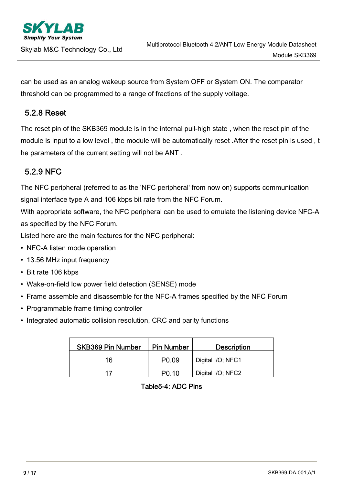

can be used as an analog wakeup source from System OFF or System ON. The comparator threshold can be programmed to a range of fractions of the supply voltage.

#### 5.2.8 Reset

The reset pin of the SKB369 module is in the internal pull-high state , when the reset pin of the module is input to a low level, the module will be automatically reset. After the reset pin is used, t he parameters of the current setting will not be ANT .

## 5.2.9 NFC

The NFC peripheral (referred to as the 'NFC peripheral' from now on) supports communication signal interface type A and 106 kbps bit rate from the NFC Forum.

With appropriate software, the NFC peripheral can be used to emulate the listening device NFC-A as specified by the NFC Forum.

Listed here are the main features for the NFC peripheral:

- NFC-A listen mode operation
- 13.56 MHz input frequency
- Bit rate 106 kbps
- Wake-on-field low power field detection (SENSE) mode
- Frame assemble and disassemble for the NFC-A frames specified by the NFC Forum
- Programmable frame timing controller
- Integrated automatic collision resolution, CRC and parity functions

| <b>SKB369 Pin Number</b> | <b>Pin Number</b> | <b>Description</b> |  |  |
|--------------------------|-------------------|--------------------|--|--|
| 16                       | P <sub>0.09</sub> | Digital I/O; NFC1  |  |  |
| 17                       | <b>PO 10</b>      | Digital I/O; NFC2  |  |  |

Table5-4: ADC Pins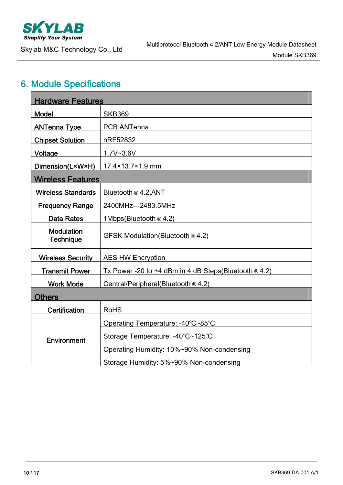

# 6. Module Specifications

| <b>Hardware Features</b>              |                                                                |
|---------------------------------------|----------------------------------------------------------------|
| <b>Model</b>                          | <b>SKB369</b>                                                  |
| <b>ANTenna Type</b>                   | <b>PCB ANTenna</b>                                             |
| <b>Chipset Solution</b>               | nRF52832                                                       |
| Voltage                               | $1.7V - 3.6V$                                                  |
| Dimension(L×W×H)                      | 17.4×13.7×1.9 mm                                               |
| <b>Wireless Features</b>              |                                                                |
| <b>Wireless Standards</b>             | Bluetooth ® 4.2, ANT                                           |
| <b>Frequency Range</b>                | 2400MHz---2483.5MHz                                            |
| <b>Data Rates</b>                     | 1Mbps(Bluetooth ® 4.2)                                         |
| <b>Modulation</b><br><b>Technique</b> | GFSK Modulation(Bluetooth ® 4.2)                               |
| <b>Wireless Security</b>              | <b>AES HW Encryption</b>                                       |
| <b>Transmit Power</b>                 | Tx Power -20 to +4 dBm in 4 dB Steps (Bluetooth $\otimes$ 4.2) |
| <b>Work Mode</b>                      | Central/Peripheral(Bluetooth $@4.2$ )                          |
| <b>Others</b>                         |                                                                |
| Certification                         | <b>RoHS</b>                                                    |
|                                       | Operating Temperature: -40°C~85°C                              |
| Environment                           | Storage Temperature: -40°C~125°C                               |
|                                       | Operating Humidity: 10%~90% Non-condensing                     |
|                                       | Storage Humidity: 5%~90% Non-condensing                        |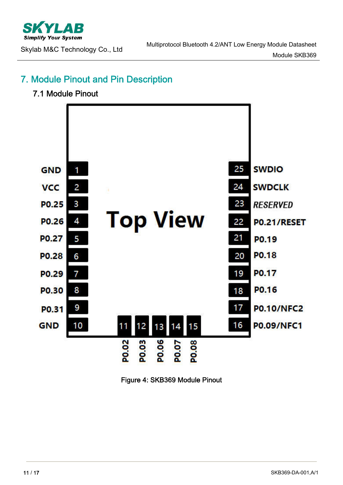

## 7. Module Pinout and Pin Description

#### 7.1 Module Pinout



Figure 4: SKB369 Module Pinout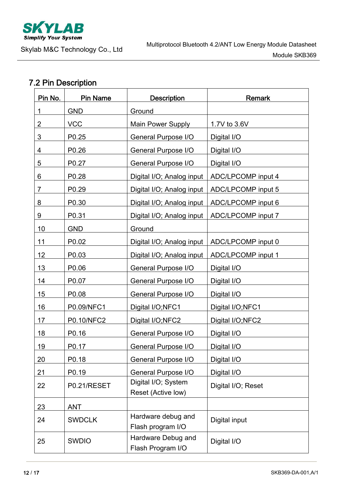

# 7.2 Pin Description

| Pin No.        | <b>Pin Name</b> | <b>Description</b>                        | <b>Remark</b>             |  |  |
|----------------|-----------------|-------------------------------------------|---------------------------|--|--|
| 1              | <b>GND</b>      | Ground                                    |                           |  |  |
| $\overline{2}$ | <b>VCC</b>      | Main Power Supply                         | 1.7V to 3.6V              |  |  |
| 3              | P0.25           | General Purpose I/O                       | Digital I/O               |  |  |
| 4              | P0.26           | <b>General Purpose I/O</b>                | Digital I/O               |  |  |
| 5              | P0.27           | General Purpose I/O                       | Digital I/O               |  |  |
| 6              | P0.28           | Digital I/O; Analog input                 | <b>ADC/LPCOMP</b> input 4 |  |  |
| 7              | P0.29           | Digital I/O; Analog input                 | ADC/LPCOMP input 5        |  |  |
| 8              | P0.30           | Digital I/O; Analog input                 | ADC/LPCOMP input 6        |  |  |
| 9              | P0.31           | Digital I/O; Analog input                 | ADC/LPCOMP input 7        |  |  |
| 10             | <b>GND</b>      | Ground                                    |                           |  |  |
| 11             | P0.02           | Digital I/O; Analog input                 | ADC/LPCOMP input 0        |  |  |
| 12             | P0.03           | Digital I/O; Analog input                 | <b>ADC/LPCOMP</b> input 1 |  |  |
| 13             | P0.06           | <b>General Purpose I/O</b>                | Digital I/O               |  |  |
| 14             | P0.07           | <b>General Purpose I/O</b>                | Digital I/O               |  |  |
| 15             | P0.08           | General Purpose I/O                       | Digital I/O               |  |  |
| 16             | P0.09/NFC1      | Digital I/O;NFC1                          | Digital I/O;NFC1          |  |  |
| 17             | P0.10/NFC2      | Digital I/O;NFC2                          | Digital I/O;NFC2          |  |  |
| 18             | P0.16           | General Purpose I/O                       | Digital I/O               |  |  |
| 19             | P0.17           | General Purpose I/O                       | Digital I/O               |  |  |
| 20             | P0.18           | General Purpose I/O                       | Digital I/O               |  |  |
| 21             | P0.19           | General Purpose I/O                       | Digital I/O               |  |  |
| 22             | P0.21/RESET     | Digital I/O; System<br>Reset (Active low) | Digital I/O; Reset        |  |  |
| 23             | <b>ANT</b>      |                                           |                           |  |  |
| 24             | <b>SWDCLK</b>   | Hardware debug and<br>Flash program I/O   | Digital input             |  |  |
| 25             | <b>SWDIO</b>    | Hardware Debug and<br>Flash Program I/O   | Digital I/O               |  |  |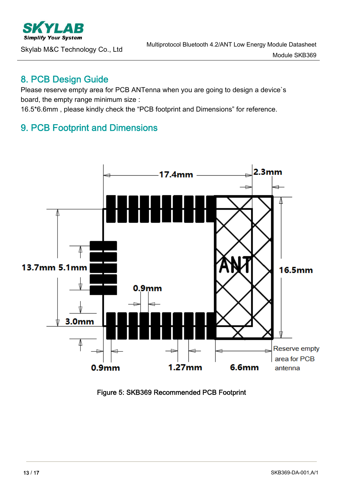

#### 8. PCB Design Guide

Please reserve empty area for PCB ANTenna when you are going to design a device's board, the empty range minimum size :

16.5\*6.6mm , please kindly check the "PCB footprint and Dimensions" for reference.

## 9. PCB Footprint and Dimensions



Figure 5: SKB369 Recommended PCB Footprint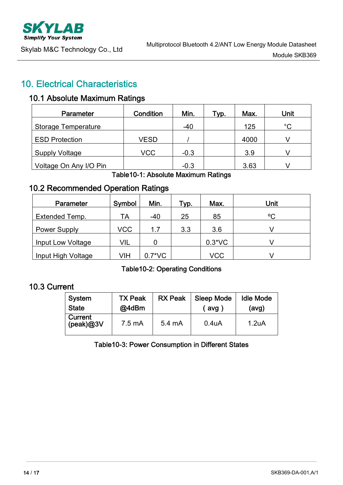# 10. Electrical Characteristics

#### 10.1 Absolute Maximum Ratings

| <b>Parameter</b>       | Condition   | Min.   | Typ. | Max. | Unit        |
|------------------------|-------------|--------|------|------|-------------|
| Storage Temperature    |             | -40    |      | 125  | $^{\circ}C$ |
| <b>ESD Protection</b>  | <b>VESD</b> |        |      | 4000 |             |
| <b>Supply Voltage</b>  | <b>VCC</b>  | $-0.3$ |      | 3.9  |             |
| Voltage On Any I/O Pin |             | $-0.3$ |      | 3.63 |             |

#### Table10-1: Absolute Maximum Ratings

## 10.2 Recommended Operation Ratings

| <b>Parameter</b>    | Symbol     | Min.     | Typ. | Max.     | Unit |
|---------------------|------------|----------|------|----------|------|
| Extended Temp.      | TА         | $-40$    | 25   | 85       | °C   |
| <b>Power Supply</b> | <b>VCC</b> | 1.7      | 3.3  | 3.6      |      |
| Input Low Voltage   | <b>VIL</b> |          |      | $0.3*VC$ |      |
| Input High Voltage  | VIH        | $0.7*VC$ |      | VCC      |      |

Table10-2: Operating Conditions

## 10.3 Current

| System               | <b>TX Peak</b> | <b>RX Peak</b> | <b>Sleep Mode</b>  | <b>Idle Mode</b> |
|----------------------|----------------|----------------|--------------------|------------------|
| <b>State</b>         | @4dBm          |                | avg                | (avg)            |
| Current<br>(peak)@3V | 7.5 mA         | 5.4 mA         | 0.4 <sub>U</sub> A | 1.2uA            |

Table10-3: Power Consumption in Different States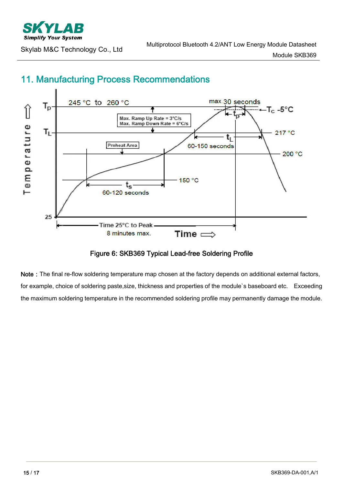

# 11. Manufacturing Process Recommendations

Figure 6: SKB369 Typical Lead-free Soldering Profile

Note: The final re-flow soldering temperature map chosen at the factory depends on additional external factors, for example, choice of soldering paste,size, thickness and properties of the module`s baseboard etc. Exceeding the maximum soldering temperature in the recommended soldering profile may permanently damage the module.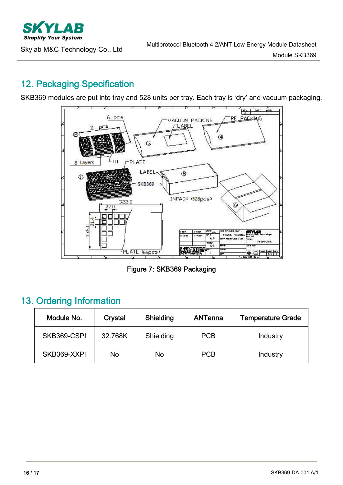

# 12. Packaging Specification

SKB369 modules are put into tray and 528 units per tray. Each tray is 'dry' and vacuum packaging.



Figure 7: SKB369 Packaging

## 13. Ordering Information

| Module No.  | Crystal | Shielding | ANTenna    | <b>Temperature Grade</b> |
|-------------|---------|-----------|------------|--------------------------|
| SKB369-CSPI | 32.768K | Shielding | <b>PCB</b> | Industry                 |
| SKB369-XXPI | No      | No        | <b>PCB</b> | Industry                 |